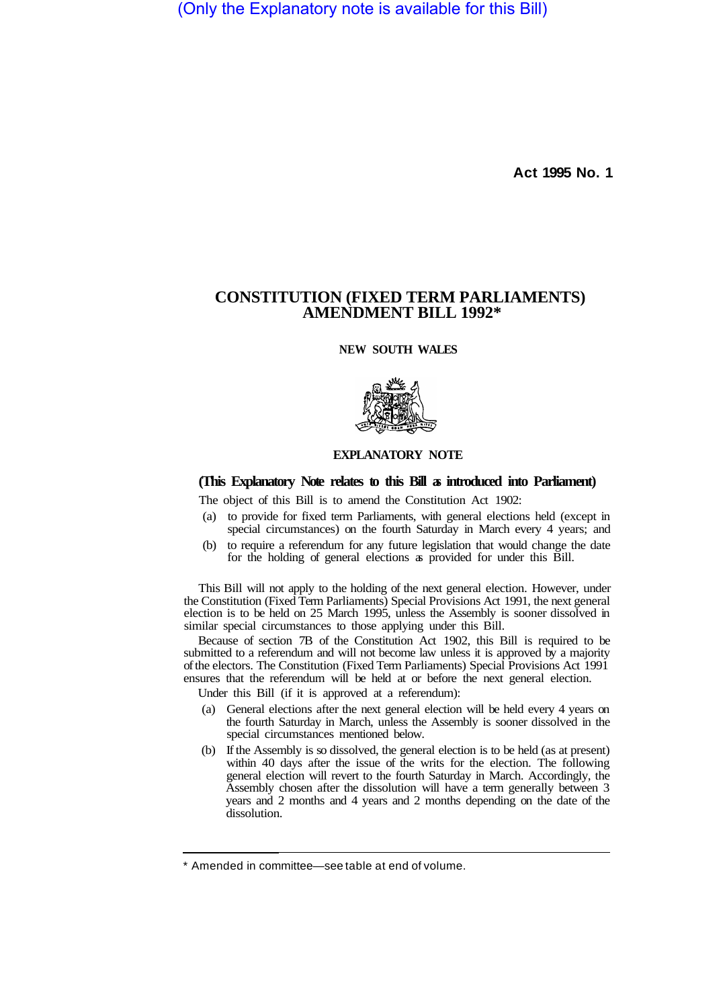(Only the Explanatory note is available for this Bill)

**Act 1995 No. 1** 

## **CONSTITUTION (FIXED TERM PARLIAMENTS) AMENDMENT BILL 1992\***

**NEW SOUTH WALES** 



## **EXPLANATORY NOTE**

## **(This Explanatory Note relates to this Bill as introduced into Parliament)**

The object of this Bill is to amend the Constitution Act 1902:

- (a) to provide for fixed term Parliaments, with general elections held (except in special circumstances) on the fourth Saturday in March every 4 years; and
- (b) to require a referendum for any future legislation that would change the date for the holding of general elections as provided for under this Bill.

This Bill will not apply to the holding of the next general election. However, under the Constitution (Fixed Term Parliaments) Special Provisions Act 1991, the next general election is to be held on 25 March 1995, unless the Assembly is sooner dissolved in similar special circumstances to those applying under this Bill.

Because of section 7B of the Constitution Act 1902, this Bill is required to be submitted to a referendum and will not become law unless it is approved by a majority of the electors. The Constitution (Fixed Term Parliaments) Special Provisions Act 1991 ensures that the referendum will be held at or before the next general election.

Under this Bill (if it is approved at a referendum):

- (a) General elections after the next general election will be held every 4 years on the fourth Saturday in March, unless the Assembly is sooner dissolved in the special circumstances mentioned below.
- (b) If the Assembly is so dissolved, the general election is to be held (as at present) within 40 days after the issue of the writs for the election. The following general election will revert to the fourth Saturday in March. Accordingly, the Assembly chosen after the dissolution will have a term generally between 3 years and 2 months and 4 years and 2 months depending on the date of the dissolution.

<sup>\*</sup> Amended in committee—see table at end of volume.